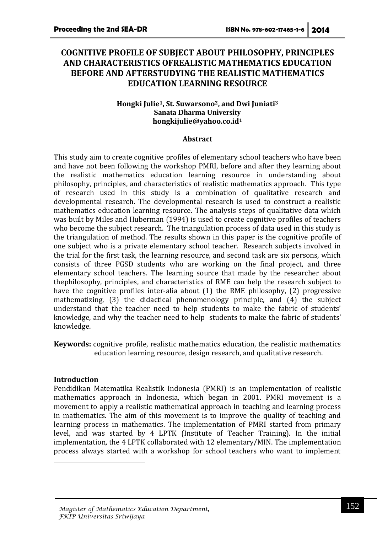# **COGNITIVE PROFILE OF SUBJECT ABOUT PHILOSOPHY, PRINCIPLES AND CHARACTERISTICS OFREALISTIC MATHEMATICS EDUCATION BEFORE AND AFTERSTUDYING THE REALISTIC MATHEMATICS EDUCATION LEARNING RESOURCE**

#### **Hongki Julie1, St. Suwarsono2, and Dwi Juniati<sup>3</sup> Sanata Dharma University [hongkijulie@yahoo.co.id](mailto:hongkijulie@yahoo.co.id)<sup>1</sup>**

#### **Abstract**

This study aim to create cognitive profiles of elementary school teachers who have been and have not been following the workshop PMRI, before and after they learning about the realistic mathematics education learning resource in understanding about philosophy, principles, and characteristics of realistic mathematics approach. This type of research used in this study is a combination of qualitative research and developmental research. The developmental research is used to construct a realistic mathematics education learning resource. The analysis steps of qualitative data which was built by Miles and Huberman (1994) is used to create cognitive profiles of teachers who become the subject research. The triangulation process of data used in this study is the triangulation of method. The results shown in this paper is the cognitive profile of one subject who is a private elementary school teacher. Research subjects involved in the trial for the first task, the learning resource, and second task are six persons, which consists of three PGSD students who are working on the final project, and three elementary school teachers. The learning source that made by the researcher about thephilosophy, principles, and characteristics of RME can help the research subject to have the cognitive profiles inter-alia about (1) the RME philosophy, (2) progressive mathematizing, (3) the didactical phenomenology principle, and (4) the subject understand that the teacher need to help students to make the fabric of students' knowledge, and why the teacher need to help students to make the fabric of students' knowledge.

**Keywords:** cognitive profile, realistic mathematics education, the realistic mathematics education learning resource, design research, and qualitative research.

#### **Introduction**

1

Pendidikan Matematika Realistik Indonesia (PMRI) is an implementation of realistic mathematics approach in Indonesia, which began in 2001. PMRI movement is a movement to apply a realistic mathematical approach in teaching and learning process in mathematics. The aim of this movement is to improve the quality of teaching and learning process in mathematics. The implementation of PMRI started from primary level, and was started by 4 LPTK (Institute of Teacher Training). In the initial implementation, the 4 LPTK collaborated with 12 elementary/MIN. The implementation process always started with a workshop for school teachers who want to implement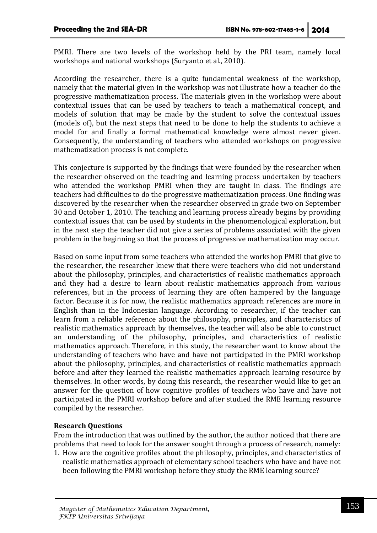PMRI. There are two levels of the workshop held by the PRI team, namely local workshops and national workshops (Suryanto et al., 2010).

According the researcher, there is a quite fundamental weakness of the workshop, namely that the material given in the workshop was not illustrate how a teacher do the progressive mathematization process. The materials given in the workshop were about contextual issues that can be used by teachers to teach a mathematical concept, and models of solution that may be made by the student to solve the contextual issues (models of), but the next steps that need to be done to help the students to achieve a model for and finally a formal mathematical knowledge were almost never given. Consequently, the understanding of teachers who attended workshops on progressive mathematization process is not complete.

This conjecture is supported by the findings that were founded by the researcher when the researcher observed on the teaching and learning process undertaken by teachers who attended the workshop PMRI when they are taught in class. The findings are teachers had difficulties to do the progressive mathematization process. One finding was discovered by the researcher when the researcher observed in grade two on September 30 and October 1, 2010. The teaching and learning process already begins by providing contextual issues that can be used by students in the phenomenological exploration, but in the next step the teacher did not give a series of problems associated with the given problem in the beginning so that the process of progressive mathematization may occur.

Based on some input from some teachers who attended the workshop PMRI that give to the researcher, the researcher knew that there were teachers who did not understand about the philosophy, principles, and characteristics of realistic mathematics approach and they had a desire to learn about realistic mathematics approach from various references, but in the process of learning they are often hampered by the language factor. Because it is for now, the realistic mathematics approach references are more in English than in the Indonesian language. According to researcher, if the teacher can learn from a reliable reference about the philosophy, principles, and characteristics of realistic mathematics approach by themselves, the teacher will also be able to construct an understanding of the philosophy, principles, and characteristics of realistic mathematics approach. Therefore, in this study, the researcher want to know about the understanding of teachers who have and have not participated in the PMRI workshop about the philosophy, principles, and characteristics of realistic mathematics approach before and after they learned the realistic mathematics approach learning resource by themselves. In other words, by doing this research, the researcher would like to get an answer for the question of how cognitive profiles of teachers who have and have not participated in the PMRI workshop before and after studied the RME learning resource compiled by the researcher.

### **Research Questions**

From the introduction that was outlined by the author, the author noticed that there are problems that need to look for the answer sought through a process of research, namely:

1. How are the cognitive profiles about the philosophy, principles, and characteristics of realistic mathematics approach of elementary school teachers who have and have not been following the PMRI workshop before they study the RME learning source?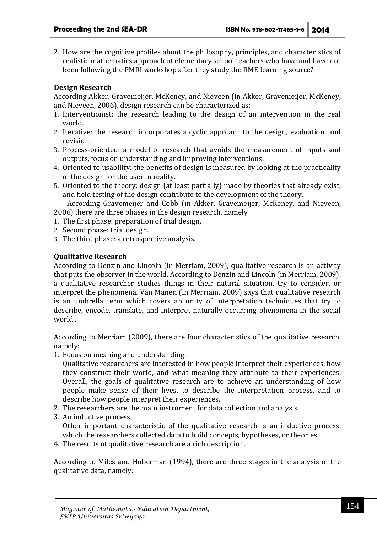2. How are the cognitive profiles about the philosophy, principles, and characteristics of realistic mathematics approach of elementary school teachers who have and have not been following the PMRI workshop after they study the RME learning source?

### **Design Research**

According Akker, Gravemeijer, McKeney, and Nieveen (in Akker, Gravemeijer, McKeney, and Nieveen, 2006), design research can be characterized as:

- 1. Interventionist: the research leading to the design of an intervention in the real world.
- 2. Iterative: the research incorporates a cyclic approach to the design, evaluation, and revision.
- 3. Process-oriented: a model of research that avoids the measurement of inputs and outputs, focus on understanding and improving interventions.
- 4. Oriented to usability: the benefits of design is measured by looking at the practicality of the design for the user in reality.
- 5. Oriented to the theory: design (at least partially) made by theories that already exist, and field testing of the design contribute to the development of the theory.

According Gravemeijer and Cobb (in Akker, Gravemeijer, McKeney, and Nieveen, 2006) there are three phases in the design research, namely

- 1. The first phase: preparation of trial design.
- 2. Second phase: trial design.
- 3. The third phase: a retrospective analysis.

### **Qualitative Research**

According to Denzin and Lincoln (in Merriam, 2009), qualitative research is an activity that puts the observer in the world. According to Denzin and Lincoln (in Merriam, 2009), a qualitative researcher studies things in their natural situation, try to consider, or interpret the phenomena. Van Manen (in Merriam, 2009) says that qualitative research is an umbrella term which covers an unity of interpretation techniques that try to describe, encode, translate, and interpret naturally occurring phenomena in the social world .

According to Merriam (2009), there are four characteristics of the qualitative research, namely:

1. Focus on meaning and understanding.

Qualitative researchers are interested in how people interpret their experiences, how they construct their world, and what meaning they attribute to their experiences. Overall, the goals of qualitative research are to achieve an understanding of how people make sense of their lives, to describe the interpretation process, and to describe how people interpret their experiences.

- 2. The researchers are the main instrument for data collection and analysis.
- 3. An inductive process.

Other important characteristic of the qualitative research is an inductive process, which the researchers collected data to build concepts, hypotheses, or theories.

4. The results of qualitative research are a rich description.

According to Miles and Huberman (1994), there are three stages in the analysis of the qualitative data, namely: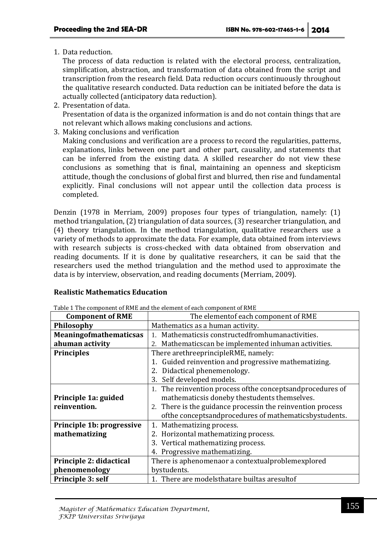1. Data reduction.

The process of data reduction is related with the electoral process, centralization, simplification, abstraction, and transformation of data obtained from the script and transcription from the research field. Data reduction occurs continuously throughout the qualitative research conducted. Data reduction can be initiated before the data is actually collected (anticipatory data reduction).

2. Presentation of data.

Presentation of data is the organized information is and do not contain things that are not relevant which allows making conclusions and actions.

3. Making conclusions and verification

Making conclusions and verification are a process to record the regularities, patterns, explanations, links between one part and other part, causality, and statements that can be inferred from the existing data. A skilled researcher do not view these conclusions as something that is final, maintaining an openness and skepticism attitude, though the conclusions of global first and blurred, then rise and fundamental explicitly. Final conclusions will not appear until the collection data process is completed.

Denzin (1978 in Merriam, 2009) proposes four types of triangulation, namely: (1) method triangulation, (2) triangulation of data sources, (3) researcher triangulation, and (4) theory triangulation. In the method triangulation, qualitative researchers use a variety of methods to approximate the data. For example, data obtained from interviews with research subjects is cross-checked with data obtained from observation and reading documents. If it is done by qualitative researchers, it can be said that the researchers used the method triangulation and the method used to approximate the data is by interview, observation, and reading documents (Merriam, 2009).

### **Realistic Mathematics Education**

| <b>Component of RME</b>       | The elementof each component of RME                          |  |  |
|-------------------------------|--------------------------------------------------------------|--|--|
| Philosophy                    | Mathematics as a human activity.                             |  |  |
| <b>Meaningofmathematicsas</b> | Mathematicsis constructedfromhumanactivities.<br>$1_{-}$     |  |  |
| ahuman activity               | Mathematics can be implemented inhuman activities.<br>2.     |  |  |
| <b>Principles</b>             | There arethreeprincipleRME, namely:                          |  |  |
|                               | 1. Guided reinvention and progressive mathematizing.         |  |  |
|                               | 2. Didactical phenemenology.                                 |  |  |
|                               | Self developed models.<br>3.                                 |  |  |
|                               | 1. The reinvention process of the concepts and procedures of |  |  |
| Principle 1a: guided          | mathematicsis doneby thestudents themselves.                 |  |  |
| reinvention.                  | 2. There is the guidance processin the reinvention process   |  |  |
|                               | of the concepts and procedures of mathematics by students.   |  |  |
| Principle 1b: progressive     | Mathematizing process.<br>1.                                 |  |  |
| mathematizing                 | 2. Horizontal mathematizing process.                         |  |  |
|                               | 3. Vertical mathematizing process.                           |  |  |
|                               | 4. Progressive mathematizing.                                |  |  |
| Principle 2: didactical       | There is aphenomenaor a contextualproblemexplored            |  |  |
| phenomenology                 | bystudents.                                                  |  |  |
| Principle 3: self             | 1. There are modelsthatare builtas aresultof                 |  |  |

Table 1 The component of RME and the element of each component of RME

*Magister of Mathematics Education Department, FKIP Universitas Sriwijaya*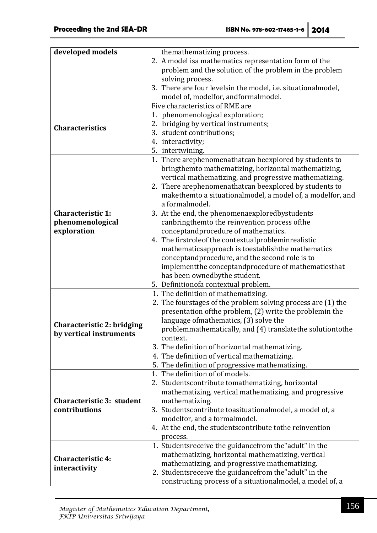| developed models           | themathematizing process.                                                           |  |  |
|----------------------------|-------------------------------------------------------------------------------------|--|--|
|                            | 2. A model isa mathematics representation form of the                               |  |  |
|                            | problem and the solution of the problem in the problem                              |  |  |
|                            | solving process.                                                                    |  |  |
|                            | 3. There are four levelsin the model, i.e. situationalmodel,                        |  |  |
|                            | model of, modelfor, andformalmodel.                                                 |  |  |
|                            | Five characteristics of RME are                                                     |  |  |
|                            | 1. phenomenological exploration;                                                    |  |  |
| <b>Characteristics</b>     | 2. bridging by vertical instruments;                                                |  |  |
|                            | 3. student contributions;                                                           |  |  |
|                            | 4. interactivity;                                                                   |  |  |
|                            | 5. intertwining.                                                                    |  |  |
|                            | 1. There arephenomenathatcan beexplored by students to                              |  |  |
|                            | bringthemto mathematizing, horizontal mathematizing,                                |  |  |
|                            | vertical mathematizing, and progressive mathematizing.                              |  |  |
|                            | 2. There arephenomenathatcan beexplored by students to                              |  |  |
|                            | makethemto a situationalmodel, a model of, a modelfor, and                          |  |  |
| <b>Characteristic 1:</b>   | a formalmodel.                                                                      |  |  |
| phenomenological           | 3. At the end, the phenomenaexploredbystudents                                      |  |  |
| exploration                | canbringthemto the reinvention process ofthe<br>conceptandprocedure of mathematics. |  |  |
|                            | 4. The firstroleof the contextualprobleminrealistic                                 |  |  |
|                            | mathematicsapproach is toestablishthe mathematics                                   |  |  |
|                            | conceptandprocedure, and the second role is to                                      |  |  |
|                            | implement the conceptand procedure of mathematics that                              |  |  |
|                            | has been ownedbythe student.                                                        |  |  |
|                            | 5. Definitionofa contextual problem.                                                |  |  |
|                            | 1. The definition of mathematizing.                                                 |  |  |
|                            | 2. The fourstages of the problem solving process are (1) the                        |  |  |
|                            | presentation ofthe problem, (2) write the problemin the                             |  |  |
| Characteristic 2: bridging | language of mathematics, (3) solve the                                              |  |  |
| by vertical instruments    | problemmathematically, and (4) translatethe solutiontothe                           |  |  |
|                            | context.                                                                            |  |  |
|                            | 3. The definition of horizontal mathematizing.                                      |  |  |
|                            | 4. The definition of vertical mathematizing.                                        |  |  |
|                            | 5. The definition of progressive mathematizing.                                     |  |  |
|                            | 1. The definition of of models.                                                     |  |  |
|                            | 2. Studentscontribute tomathematizing, horizontal                                   |  |  |
| Characteristic 3: student  | mathematizing, vertical mathematizing, and progressive<br>mathematizing.            |  |  |
| contributions              | 3. Students contribute to asituation almodel, a model of, a                         |  |  |
|                            | modelfor, and a formalmodel.                                                        |  |  |
|                            | 4. At the end, the students contribute to the reinvention                           |  |  |
|                            | process.                                                                            |  |  |
|                            | 1. Studentsreceive the guidancefrom the"adult" in the                               |  |  |
|                            | mathematizing, horizontal mathematizing, vertical                                   |  |  |
| <b>Characteristic 4:</b>   | mathematizing, and progressive mathematizing.                                       |  |  |
| interactivity              | 2. Studentsreceive the guidancefrom the"adult" in the                               |  |  |
|                            | constructing process of a situationalmodel, a model of, a                           |  |  |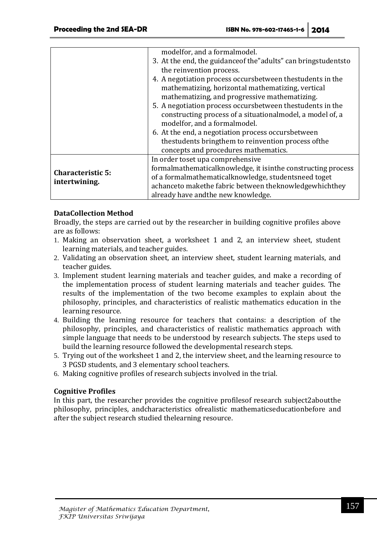|                                           | modelfor, and a formalmodel.                                      |
|-------------------------------------------|-------------------------------------------------------------------|
|                                           | 3. At the end, the guidance of the "adults" can bring students to |
|                                           | the reinvention process.                                          |
|                                           | 4. A negotiation process occursbetween thestudents in the         |
|                                           | mathematizing, horizontal mathematizing, vertical                 |
|                                           | mathematizing, and progressive mathematizing.                     |
|                                           | 5. A negotiation process occursbetween thestudents in the         |
|                                           | constructing process of a situational model, a model of, a        |
|                                           | modelfor, and a formalmodel.                                      |
|                                           | 6. At the end, a negotiation process occursbetween                |
|                                           | thestudents bringthem to reinvention process of the               |
|                                           | concepts and procedures mathematics.                              |
| <b>Characteristic 5:</b><br>intertwining. | In order toset upa comprehensive                                  |
|                                           | formalmathematicalknowledge, it isinthe constructing process      |
|                                           | of a formalmathematicalknowledge, studentsneed toget              |
|                                           | achanceto makethe fabric between theknowledgewhichthey            |
|                                           | already have and the new knowledge.                               |

## **DataCollection Method**

Broadly, the steps are carried out by the researcher in building cognitive profiles above are as follows:

- 1. Making an observation sheet, a worksheet 1 and 2, an interview sheet, student learning materials, and teacher guides.
- 2. Validating an observation sheet, an interview sheet, student learning materials, and teacher guides.
- 3. Implement student learning materials and teacher guides, and make a recording of the implementation process of student learning materials and teacher guides. The results of the implementation of the two become examples to explain about the philosophy, principles, and characteristics of realistic mathematics education in the learning resource.
- 4. Building the learning resource for teachers that contains: a description of the philosophy, principles, and characteristics of realistic mathematics approach with simple language that needs to be understood by research subjects. The steps used to build the learning resource followed the developmental research steps.
- 5. Trying out of the worksheet 1 and 2, the interview sheet, and the learning resource to 3 PGSD students, and 3 elementary school teachers.
- 6. Making cognitive profiles of research subjects involved in the trial.

## **Cognitive Profiles**

In this part, the researcher provides the cognitive profilesof research subject2aboutthe philosophy, principles, andcharacteristics ofrealistic mathematicseducationbefore and after the subject research studied thelearning resource.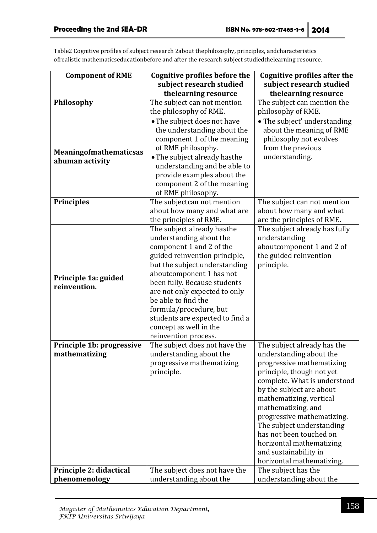Table2 Cognitive profiles of subject research 2about thephilosophy, principles, andcharacteristics ofrealistic mathematicseducationbefore and after the research subject studiedthelearning resource.

| <b>Component of RME</b>                          | <b>Cognitive profiles before the</b>                                                                                                                                                                                                                                                                                                                                                   | <b>Cognitive profiles after the</b>                                                                                                                                                                                                                                                                                                                                                                   |
|--------------------------------------------------|----------------------------------------------------------------------------------------------------------------------------------------------------------------------------------------------------------------------------------------------------------------------------------------------------------------------------------------------------------------------------------------|-------------------------------------------------------------------------------------------------------------------------------------------------------------------------------------------------------------------------------------------------------------------------------------------------------------------------------------------------------------------------------------------------------|
|                                                  | subject research studied                                                                                                                                                                                                                                                                                                                                                               | subject research studied                                                                                                                                                                                                                                                                                                                                                                              |
|                                                  | thelearning resource                                                                                                                                                                                                                                                                                                                                                                   | thelearning resource                                                                                                                                                                                                                                                                                                                                                                                  |
| Philosophy                                       | The subject can not mention                                                                                                                                                                                                                                                                                                                                                            | The subject can mention the                                                                                                                                                                                                                                                                                                                                                                           |
|                                                  | the philosophy of RME.                                                                                                                                                                                                                                                                                                                                                                 | philosophy of RME.                                                                                                                                                                                                                                                                                                                                                                                    |
| <b>Meaningofmathematicsas</b><br>ahuman activity | • The subject does not have<br>the understanding about the<br>component 1 of the meaning<br>of RME philosophy.<br>• The subject already hasthe<br>understanding and be able to<br>provide examples about the<br>component 2 of the meaning<br>of RME philosophy.                                                                                                                       | • The subject' understanding<br>about the meaning of RME<br>philosophy not evolves<br>from the previous<br>understanding.                                                                                                                                                                                                                                                                             |
| <b>Principles</b>                                | The subjectcan not mention<br>about how many and what are<br>the principles of RME.                                                                                                                                                                                                                                                                                                    | The subject can not mention<br>about how many and what<br>are the principles of RME.                                                                                                                                                                                                                                                                                                                  |
| Principle 1a: guided<br>reinvention.             | The subject already hasthe<br>understanding about the<br>component 1 and 2 of the<br>guided reinvention principle,<br>but the subject understanding<br>aboutcomponent 1 has not<br>been fully. Because students<br>are not only expected to only<br>be able to find the<br>formula/procedure, but<br>students are expected to find a<br>concept as well in the<br>reinvention process. | The subject already has fully<br>understanding<br>aboutcomponent 1 and 2 of<br>the guided reinvention<br>principle.                                                                                                                                                                                                                                                                                   |
| Principle 1b: progressive<br>mathematizing       | The subject does not have the<br>understanding about the<br>progressive mathematizing<br>principle.                                                                                                                                                                                                                                                                                    | The subject already has the<br>understanding about the<br>progressive mathematizing<br>principle, though not yet<br>complete. What is understood<br>by the subject are about<br>mathematizing, vertical<br>mathematizing, and<br>progressive mathematizing.<br>The subject understanding<br>has not been touched on<br>horizontal mathematizing<br>and sustainability in<br>horizontal mathematizing. |
| Principle 2: didactical                          | The subject does not have the                                                                                                                                                                                                                                                                                                                                                          | The subject has the                                                                                                                                                                                                                                                                                                                                                                                   |
| phenomenology                                    | understanding about the                                                                                                                                                                                                                                                                                                                                                                | understanding about the                                                                                                                                                                                                                                                                                                                                                                               |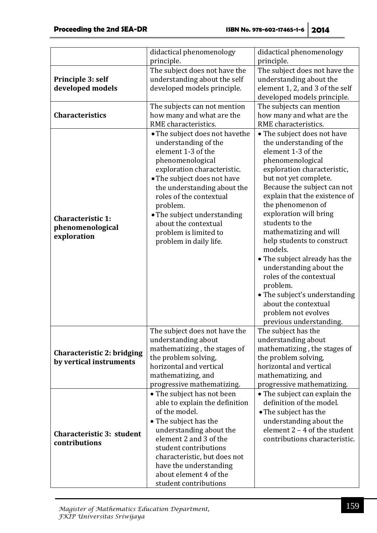| principle.<br>principle.<br>The subject does not have the<br>The subject does not have the<br>understanding about the self<br>understanding about the<br>Principle 3: self<br>element 1, 2, and 3 of the self<br>developed models<br>developed models principle.<br>developed models principle.<br>The subjects can not mention<br>The subjects can mention<br><b>Characteristics</b><br>how many and what are the<br>how many and what are the<br>RME characteristics.<br>RME characteristics.<br>• The subject does not have the<br>• The subject does not have<br>understanding of the<br>the understanding of the<br>element 1-3 of the<br>element 1-3 of the<br>phenomenological<br>phenomenological |
|-----------------------------------------------------------------------------------------------------------------------------------------------------------------------------------------------------------------------------------------------------------------------------------------------------------------------------------------------------------------------------------------------------------------------------------------------------------------------------------------------------------------------------------------------------------------------------------------------------------------------------------------------------------------------------------------------------------|
|                                                                                                                                                                                                                                                                                                                                                                                                                                                                                                                                                                                                                                                                                                           |
|                                                                                                                                                                                                                                                                                                                                                                                                                                                                                                                                                                                                                                                                                                           |
|                                                                                                                                                                                                                                                                                                                                                                                                                                                                                                                                                                                                                                                                                                           |
|                                                                                                                                                                                                                                                                                                                                                                                                                                                                                                                                                                                                                                                                                                           |
|                                                                                                                                                                                                                                                                                                                                                                                                                                                                                                                                                                                                                                                                                                           |
|                                                                                                                                                                                                                                                                                                                                                                                                                                                                                                                                                                                                                                                                                                           |
|                                                                                                                                                                                                                                                                                                                                                                                                                                                                                                                                                                                                                                                                                                           |
|                                                                                                                                                                                                                                                                                                                                                                                                                                                                                                                                                                                                                                                                                                           |
|                                                                                                                                                                                                                                                                                                                                                                                                                                                                                                                                                                                                                                                                                                           |
|                                                                                                                                                                                                                                                                                                                                                                                                                                                                                                                                                                                                                                                                                                           |
|                                                                                                                                                                                                                                                                                                                                                                                                                                                                                                                                                                                                                                                                                                           |
|                                                                                                                                                                                                                                                                                                                                                                                                                                                                                                                                                                                                                                                                                                           |
| exploration characteristic.<br>exploration characteristic,                                                                                                                                                                                                                                                                                                                                                                                                                                                                                                                                                                                                                                                |
| • The subject does not have<br>but not yet complete.                                                                                                                                                                                                                                                                                                                                                                                                                                                                                                                                                                                                                                                      |
| Because the subject can not<br>the understanding about the                                                                                                                                                                                                                                                                                                                                                                                                                                                                                                                                                                                                                                                |
| explain that the existence of<br>roles of the contextual                                                                                                                                                                                                                                                                                                                                                                                                                                                                                                                                                                                                                                                  |
| the phenomenon of<br>problem.                                                                                                                                                                                                                                                                                                                                                                                                                                                                                                                                                                                                                                                                             |
| exploration will bring<br>• The subject understanding<br><b>Characteristic 1:</b>                                                                                                                                                                                                                                                                                                                                                                                                                                                                                                                                                                                                                         |
| students to the<br>about the contextual<br>phenomenological                                                                                                                                                                                                                                                                                                                                                                                                                                                                                                                                                                                                                                               |
| mathematizing and will<br>problem is limited to<br>exploration<br>help students to construct                                                                                                                                                                                                                                                                                                                                                                                                                                                                                                                                                                                                              |
| problem in daily life.<br>models.                                                                                                                                                                                                                                                                                                                                                                                                                                                                                                                                                                                                                                                                         |
| • The subject already has the                                                                                                                                                                                                                                                                                                                                                                                                                                                                                                                                                                                                                                                                             |
| understanding about the                                                                                                                                                                                                                                                                                                                                                                                                                                                                                                                                                                                                                                                                                   |
| roles of the contextual                                                                                                                                                                                                                                                                                                                                                                                                                                                                                                                                                                                                                                                                                   |
| problem.                                                                                                                                                                                                                                                                                                                                                                                                                                                                                                                                                                                                                                                                                                  |
| • The subject's understanding                                                                                                                                                                                                                                                                                                                                                                                                                                                                                                                                                                                                                                                                             |
| about the contextual                                                                                                                                                                                                                                                                                                                                                                                                                                                                                                                                                                                                                                                                                      |
| problem not evolves                                                                                                                                                                                                                                                                                                                                                                                                                                                                                                                                                                                                                                                                                       |
| previous understanding.                                                                                                                                                                                                                                                                                                                                                                                                                                                                                                                                                                                                                                                                                   |
| The subject does not have the<br>The subject has the                                                                                                                                                                                                                                                                                                                                                                                                                                                                                                                                                                                                                                                      |
| understanding about<br>understanding about                                                                                                                                                                                                                                                                                                                                                                                                                                                                                                                                                                                                                                                                |
| mathematizing, the stages of<br>mathematizing, the stages of<br>Characteristic 2: bridging                                                                                                                                                                                                                                                                                                                                                                                                                                                                                                                                                                                                                |
| the problem solving,<br>the problem solving,<br>by vertical instruments                                                                                                                                                                                                                                                                                                                                                                                                                                                                                                                                                                                                                                   |
| horizontal and vertical<br>horizontal and vertical                                                                                                                                                                                                                                                                                                                                                                                                                                                                                                                                                                                                                                                        |
| mathematizing, and<br>mathematizing, and                                                                                                                                                                                                                                                                                                                                                                                                                                                                                                                                                                                                                                                                  |
| progressive mathematizing.<br>progressive mathematizing.                                                                                                                                                                                                                                                                                                                                                                                                                                                                                                                                                                                                                                                  |
| • The subject has not been<br>• The subject can explain the                                                                                                                                                                                                                                                                                                                                                                                                                                                                                                                                                                                                                                               |
| definition of the model.<br>able to explain the definition                                                                                                                                                                                                                                                                                                                                                                                                                                                                                                                                                                                                                                                |
| of the model.<br>• The subject has the                                                                                                                                                                                                                                                                                                                                                                                                                                                                                                                                                                                                                                                                    |
| • The subject has the<br>understanding about the                                                                                                                                                                                                                                                                                                                                                                                                                                                                                                                                                                                                                                                          |
| element 2 - 4 of the student<br>understanding about the<br>Characteristic 3: student                                                                                                                                                                                                                                                                                                                                                                                                                                                                                                                                                                                                                      |
| element 2 and 3 of the<br>contributions characteristic.<br>contributions<br>student contributions                                                                                                                                                                                                                                                                                                                                                                                                                                                                                                                                                                                                         |
|                                                                                                                                                                                                                                                                                                                                                                                                                                                                                                                                                                                                                                                                                                           |
| characteristic, but does not                                                                                                                                                                                                                                                                                                                                                                                                                                                                                                                                                                                                                                                                              |
| have the understanding<br>about element 4 of the                                                                                                                                                                                                                                                                                                                                                                                                                                                                                                                                                                                                                                                          |
| student contributions                                                                                                                                                                                                                                                                                                                                                                                                                                                                                                                                                                                                                                                                                     |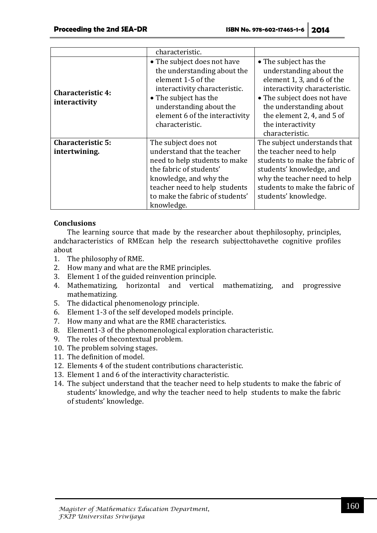|                                           | characteristic.                                                                                                                                                                                                            |                                                                                                                                                                                                                                                 |
|-------------------------------------------|----------------------------------------------------------------------------------------------------------------------------------------------------------------------------------------------------------------------------|-------------------------------------------------------------------------------------------------------------------------------------------------------------------------------------------------------------------------------------------------|
| <b>Characteristic 4:</b><br>interactivity | • The subject does not have<br>the understanding about the<br>element 1-5 of the<br>interactivity characteristic.<br>• The subject has the<br>understanding about the<br>element 6 of the interactivity<br>characteristic. | • The subject has the<br>understanding about the<br>element 1, 3, and 6 of the<br>interactivity characteristic.<br>• The subject does not have<br>the understanding about<br>the element 2, 4, and 5 of<br>the interactivity<br>characteristic. |
| <b>Characteristic 5:</b>                  | The subject does not                                                                                                                                                                                                       | The subject understands that                                                                                                                                                                                                                    |
| intertwining.                             | understand that the teacher<br>need to help students to make<br>the fabric of students'<br>knowledge, and why the<br>teacher need to help students<br>to make the fabric of students'<br>knowledge.                        | the teacher need to help<br>students to make the fabric of<br>students' knowledge, and<br>why the teacher need to help<br>students to make the fabric of<br>students' knowledge.                                                                |

## **Conclusions**

The learning source that made by the researcher about thephilosophy, principles, andcharacteristics of RMEcan help the research subjecttohavethe cognitive profiles about

- 1. The philosophy of RME.
- 2. How many and what are the RME principles.
- 3. Element 1 of the guided reinvention principle.
- 4. Mathematizing, horizontal and vertical mathematizing, and progressive mathematizing.
- 5. The didactical phenomenology principle.
- 6. Element 1-3 of the self developed models principle.
- 7. How many and what are the RME characteristics.
- 8. Element1-3 of the phenomenological exploration characteristic.
- 9. The roles of thecontextual problem.
- 10. The problem solving stages.
- 11. The definition of model.
- 12. Elements 4 of the student contributions characteristic.
- 13. Element 1 and 6 of the interactivity characteristic.
- 14. The subject understand that the teacher need to help students to make the fabric of students' knowledge, and why the teacher need to help students to make the fabric of students' knowledge.